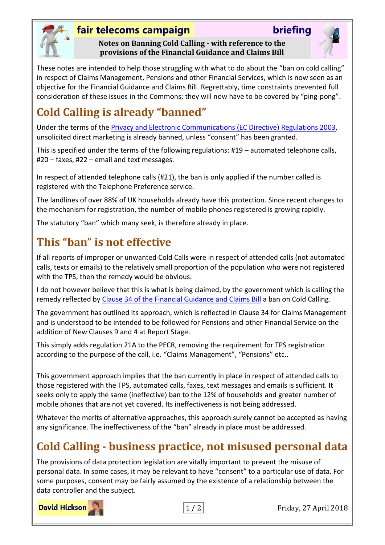

#### **fair telecoms campaign briefing**

**Notes on Banning Cold Calling - with reference to the provisions of the Financial Guidance and Claims Bill**



These notes are intended to help those struggling with what to do about the "ban on cold calling" in respect of Claims Management, Pensions and other Financial Services, which is now seen as an objective for the Financial Guidance and Claims Bill. Regrettably, time constraints prevented full consideration of these issues in the Commons; they will now have to be covered by "ping-pong".

# **Cold Calling is already "banned"**

Under the terms of the [Privacy and Electronic Communications \(EC](http://www.legislation.gov.uk/uksi/2003/2426/contents/made) Directive) Regulations 2003, unsolicited direct marketing is already banned, unless "consent" has been granted.

This is specified under the terms of the following regulations: #19 – automated telephone calls, #20 – faxes, #22 – email and text messages.

In respect of attended telephone calls (#21), the ban is only applied if the number called is registered with the Telephone Preference service.

The landlines of over 88% of UK households already have this protection. Since recent changes to the mechanism for registration, the number of mobile phones registered is growing rapidly.

The statutory "ban" which many seek, is therefore already in place.

# **This "ban" is not effective**

If all reports of improper or unwanted Cold Calls were in respect of attended calls (not automated calls, texts or emails) to the relatively small proportion of the population who were not registered with the TPS, then the remedy would be obvious.

I do not however believe that this is what is being claimed, by the government which is calling the remedy reflected by [Clause 34 of the Financial Guidance and Claims Bill](https://publications.parliament.uk/pa/bills/cbill/2017-2019/0160/cbill_2017-20190160_en_5.htm#pt2-pb3-l1g34) a ban on Cold Calling.

The government has outlined its approach, which is reflected in Clause 34 for Claims Management and is understood to be intended to be followed for Pensions and other Financial Service on the addition of New Clauses 9 and 4 at Report Stage.

This simply adds regulation 21A to the PECR, removing the requirement for TPS registration according to the purpose of the call, i.e. "Claims Management", "Pensions" etc..

This government approach implies that the ban currently in place in respect of attended calls to those registered with the TPS, automated calls, faxes, text messages and emails is sufficient. It seeks only to apply the same (ineffective) ban to the 12% of households and greater number of mobile phones that are not yet covered. Its ineffectiveness is not being addressed.

Whatever the merits of alternative approaches, this approach surely cannot be accepted as having any significance. The ineffectiveness of the "ban" already in place must be addressed.

# **Cold Calling - business practice, not misused personal data**

The provisions of data protection legislation are vitally important to prevent the misuse of personal data. In some cases, it may be relevant to have "consent" to a particular use of data. For some purposes, consent may be fairly assumed by the existence of a relationship between the data controller and the subject.

**David Hickson** 



1 / 2 Friday, 27 April 2018